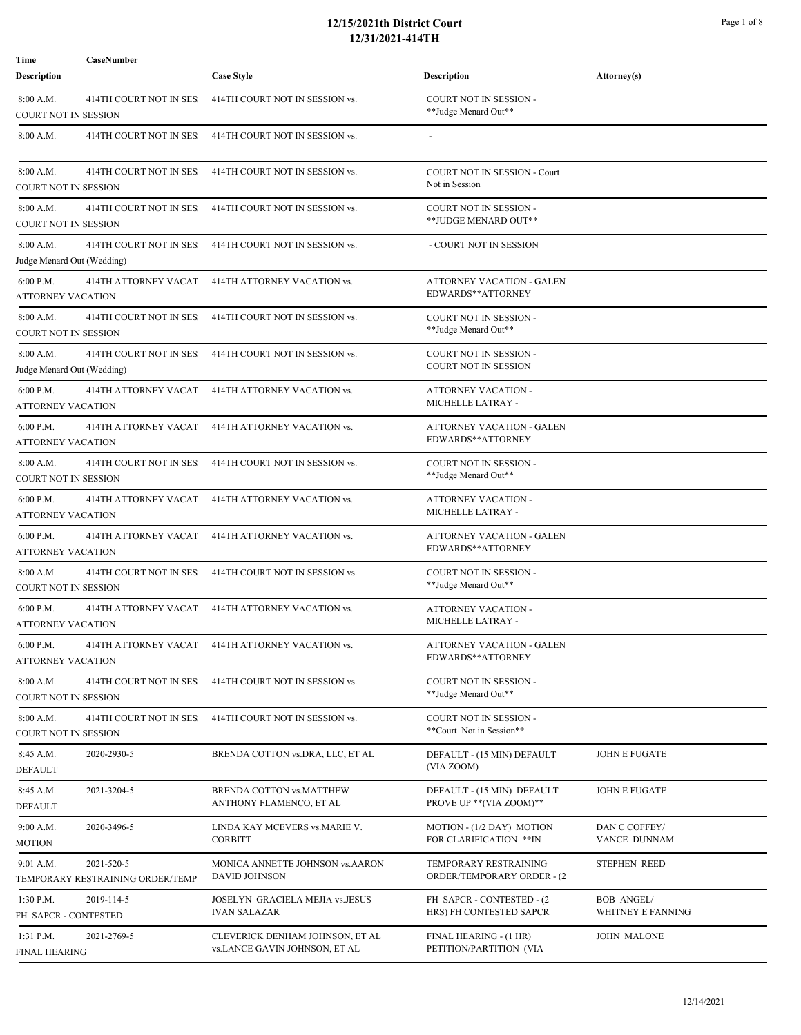## **12/15/2021th District Court** Page 1 of 8 **12/31/2021-414TH**

**Description Attorney(s)** Case Style **Case Style Reserves Attorney(s) Description** Attorney(s)

**Time CaseNumber** 

| 8:00 A.M.<br>414TH COURT NOT IN SES:<br>COURT NOT IN SESSION         | 414TH COURT NOT IN SESSION vs.                                   | COURT NOT IN SESSION -<br>**Judge Menard Out**         |                                        |
|----------------------------------------------------------------------|------------------------------------------------------------------|--------------------------------------------------------|----------------------------------------|
| 414TH COURT NOT IN SES<br>8:00 A.M.                                  | 414TH COURT NOT IN SESSION vs.                                   |                                                        |                                        |
| 8:00 A.M.<br>414TH COURT NOT IN SES<br>COURT NOT IN SESSION          | 414TH COURT NOT IN SESSION vs.                                   | <b>COURT NOT IN SESSION - Court</b><br>Not in Session  |                                        |
| 8:00 A.M.<br>414TH COURT NOT IN SES<br>COURT NOT IN SESSION          | 414TH COURT NOT IN SESSION vs.                                   | COURT NOT IN SESSION -<br>**JUDGE MENARD OUT**         |                                        |
| 8:00 A.M.<br>414TH COURT NOT IN SES<br>Judge Menard Out (Wedding)    | 414TH COURT NOT IN SESSION vs.                                   | - COURT NOT IN SESSION                                 |                                        |
| 6:00 P.M.<br>414TH ATTORNEY VACAT<br>ATTORNEY VACATION               | 414TH ATTORNEY VACATION vs.                                      | ATTORNEY VACATION - GALEN<br>EDWARDS**ATTORNEY         |                                        |
| 414TH COURT NOT IN SES<br>8:00 A.M.<br><b>COURT NOT IN SESSION</b>   | 414TH COURT NOT IN SESSION vs.                                   | COURT NOT IN SESSION -<br>**Judge Menard Out**         |                                        |
| 8:00 A.M.<br>414TH COURT NOT IN SES<br>Judge Menard Out (Wedding)    | 414TH COURT NOT IN SESSION vs.                                   | COURT NOT IN SESSION -<br><b>COURT NOT IN SESSION</b>  |                                        |
| 6:00 P.M.<br><b>414TH ATTORNEY VACAT</b><br><b>ATTORNEY VACATION</b> | 414TH ATTORNEY VACATION vs.                                      | ATTORNEY VACATION -<br>MICHELLE LATRAY -               |                                        |
| 6:00 P.M.<br>414TH ATTORNEY VACAT<br><b>ATTORNEY VACATION</b>        | 414TH ATTORNEY VACATION vs.                                      | ATTORNEY VACATION - GALEN<br>EDWARDS**ATTORNEY         |                                        |
| 414TH COURT NOT IN SES<br>8:00 A.M.<br><b>COURT NOT IN SESSION</b>   | 414TH COURT NOT IN SESSION vs.                                   | COURT NOT IN SESSION -<br>**Judge Menard Out**         |                                        |
| 6:00 P.M.<br>414TH ATTORNEY VACAT<br>ATTORNEY VACATION               | 414TH ATTORNEY VACATION vs.                                      | ATTORNEY VACATION -<br>MICHELLE LATRAY -               |                                        |
| $6:00$ P.M.<br>414TH ATTORNEY VACAT<br>ATTORNEY VACATION             | 414TH ATTORNEY VACATION vs.                                      | ATTORNEY VACATION - GALEN<br>EDWARDS**ATTORNEY         |                                        |
| 8:00 A.M.<br>414TH COURT NOT IN SES<br><b>COURT NOT IN SESSION</b>   | 414TH COURT NOT IN SESSION vs.                                   | COURT NOT IN SESSION -<br>**Judge Menard Out**         |                                        |
| 6:00 P.M.<br>414TH ATTORNEY VACAT<br>ATTORNEY VACATION               | 414TH ATTORNEY VACATION vs.                                      | ATTORNEY VACATION -<br>MICHELLE LATRAY -               |                                        |
| $6:00$ P.M.<br><b>ATTORNEY VACATION</b>                              | 414TH ATTORNEY VACAT 414TH ATTORNEY VACATION vs.                 | <b>ATTORNEY VACATION - GALEN</b><br>EDWARDS**ATTORNEY  |                                        |
| 8:00 A.M.<br>414TH COURT NOT IN SES<br>COURT NOT IN SESSION          | 414TH COURT NOT IN SESSION vs.                                   | COURT NOT IN SESSION -<br>**Judge Menard Out**         |                                        |
| 8:00 A.M.<br>414TH COURT NOT IN SES<br>COURT NOT IN SESSION          | 414TH COURT NOT IN SESSION vs.                                   | COURT NOT IN SESSION -<br>**Court Not in Session**     |                                        |
| 8:45 A.M.<br>2020-2930-5<br><b>DEFAULT</b>                           | BRENDA COTTON vs.DRA, LLC, ET AL                                 | DEFAULT - (15 MIN) DEFAULT<br>(VIA ZOOM)               | <b>JOHN E FUGATE</b>                   |
| 8:45 A.M.<br>2021-3204-5<br><b>DEFAULT</b>                           | BRENDA COTTON vs.MATTHEW<br>ANTHONY FLAMENCO, ET AL              | DEFAULT - (15 MIN) DEFAULT<br>PROVE UP ** (VIA ZOOM)** | <b>JOHN E FUGATE</b>                   |
| 9:00 A.M.<br>2020-3496-5<br>MOTION                                   | LINDA KAY MCEVERS vs.MARIE V.<br><b>CORBITT</b>                  | MOTION - (1/2 DAY) MOTION<br>FOR CLARIFICATION ** IN   | DAN C COFFEY/<br>VANCE DUNNAM          |
| 9:01 A.M.<br>2021-520-5<br>TEMPORARY RESTRAINING ORDER/TEMP          | MONICA ANNETTE JOHNSON vs.AARON<br><b>DAVID JOHNSON</b>          | TEMPORARY RESTRAINING<br>ORDER/TEMPORARY ORDER - (2)   | <b>STEPHEN REED</b>                    |
| $1:30$ P.M.<br>2019-114-5<br>FH SAPCR - CONTESTED                    | JOSELYN GRACIELA MEJIA vs.JESUS<br><b>IVAN SALAZAR</b>           | FH SAPCR - CONTESTED - (2)<br>HRS) FH CONTESTED SAPCR  | <b>BOB ANGEL/</b><br>WHITNEY E FANNING |
| 1:31 P.M.<br>2021-2769-5<br>FINAL HEARING                            | CLEVERICK DENHAM JOHNSON, ET AL<br>vs.LANCE GAVIN JOHNSON, ET AL | FINAL HEARING - (1 HR)<br>PETITION/PARTITION (VIA      | <b>JOHN MALONE</b>                     |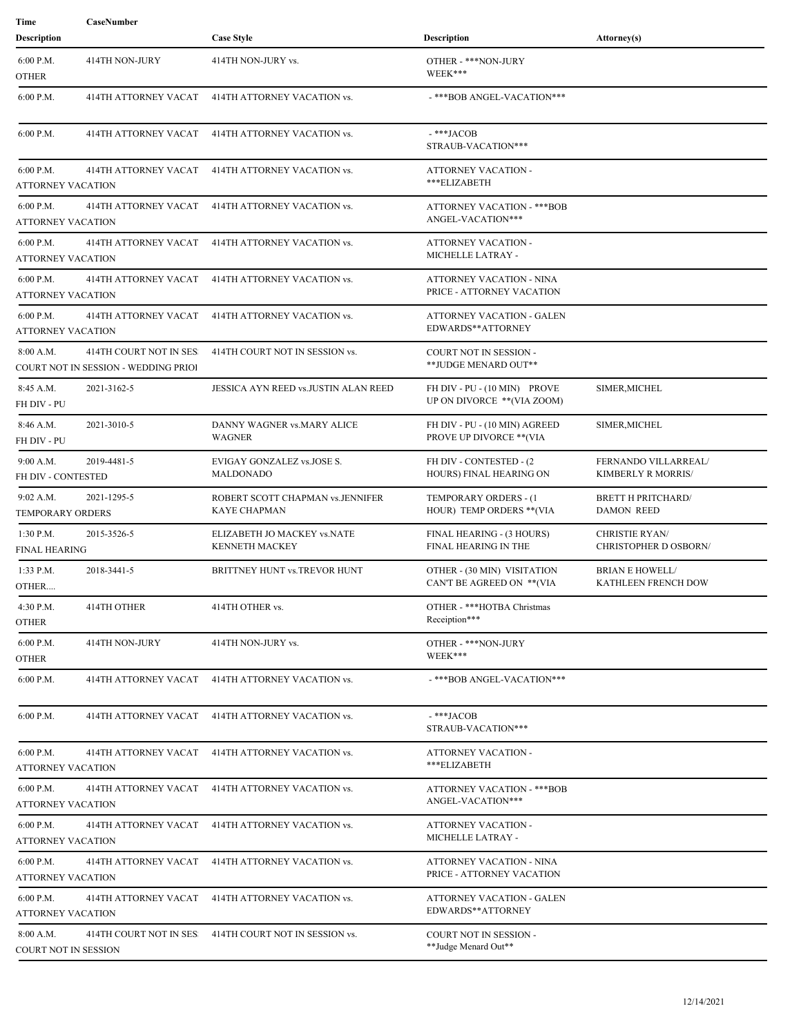| Time                                  | CaseNumber                                                     |                                                      |                                                                  |                                                       |
|---------------------------------------|----------------------------------------------------------------|------------------------------------------------------|------------------------------------------------------------------|-------------------------------------------------------|
| Description                           |                                                                | <b>Case Style</b>                                    | Description                                                      | Attorney(s)                                           |
| 6:00 P.M.<br><b>OTHER</b>             | 414TH NON-JURY                                                 | 414TH NON-JURY vs.                                   | OTHER - ***NON-JURY<br>WEEK***                                   |                                                       |
| 6:00 P.M.                             | 414TH ATTORNEY VACAT                                           | 414TH ATTORNEY VACATION vs.                          | -***BOB ANGEL-VACATION***                                        |                                                       |
| 6:00 P.M.                             | 414TH ATTORNEY VACAT                                           | 414TH ATTORNEY VACATION vs.                          | -***JACOB<br>STRAUB-VACATION***                                  |                                                       |
| 6:00 P.M.<br>ATTORNEY VACATION        | 414TH ATTORNEY VACAT                                           | 414TH ATTORNEY VACATION vs.                          | ATTORNEY VACATION -<br>***ELIZABETH                              |                                                       |
| 6:00 P.M.<br><b>ATTORNEY VACATION</b> | 414TH ATTORNEY VACAT                                           | 414TH ATTORNEY VACATION vs.                          | ATTORNEY VACATION - *** BOB<br>ANGEL-VACATION***                 |                                                       |
| 6:00 P.M.<br><b>ATTORNEY VACATION</b> | 414TH ATTORNEY VACAT                                           | 414TH ATTORNEY VACATION vs.                          | ATTORNEY VACATION -<br>MICHELLE LATRAY -                         |                                                       |
| 6:00 P.M.<br>ATTORNEY VACATION        | 414TH ATTORNEY VACAT                                           | 414TH ATTORNEY VACATION vs.                          | ATTORNEY VACATION - NINA<br>PRICE - ATTORNEY VACATION            |                                                       |
| 6:00 P.M.<br><b>ATTORNEY VACATION</b> | 414TH ATTORNEY VACAT                                           | 414TH ATTORNEY VACATION vs.                          | ATTORNEY VACATION - GALEN<br>EDWARDS**ATTORNEY                   |                                                       |
| 8:00 A.M.                             | 414TH COURT NOT IN SES<br>COURT NOT IN SESSION - WEDDING PRIO! | 414TH COURT NOT IN SESSION vs.                       | COURT NOT IN SESSION -<br>**JUDGE MENARD OUT**                   |                                                       |
| 8:45 A.M.<br>FH DIV - PU              | 2021-3162-5                                                    | JESSICA AYN REED vs.JUSTIN ALAN REED                 | FH DIV - PU - (10 MIN) PROVE<br>UP ON DIVORCE ** (VIA ZOOM)      | SIMER, MICHEL                                         |
| 8:46 A.M.<br>FH DIV - PU              | 2021-3010-5                                                    | DANNY WAGNER vs.MARY ALICE<br><b>WAGNER</b>          | FH DIV - PU - (10 MIN) AGREED<br><b>PROVE UP DIVORCE ** (VIA</b> | SIMER, MICHEL                                         |
| 9:00 A.M.<br>FH DIV - CONTESTED       | 2019-4481-5                                                    | EVIGAY GONZALEZ vs.JOSE S.<br>MALDONADO              | FH DIV - CONTESTED - (2)<br>HOURS) FINAL HEARING ON              | FERNANDO VILLARREAL/<br>KIMBERLY R MORRIS/            |
| $9:02$ A.M.<br>TEMPORARY ORDERS       | 2021-1295-5                                                    | ROBERT SCOTT CHAPMAN vs.JENNIFER<br>KAYE CHAPMAN     | TEMPORARY ORDERS - (1<br>HOUR) TEMP ORDERS ** (VIA               | <b>BRETT H PRITCHARD/</b><br><b>DAMON REED</b>        |
| $1:30$ P.M.<br><b>FINAL HEARING</b>   | 2015-3526-5                                                    | ELIZABETH JO MACKEY vs.NATE<br><b>KENNETH MACKEY</b> | FINAL HEARING - (3 HOURS)<br>FINAL HEARING IN THE                | <b>CHRISTIE RYAN/</b><br><b>CHRISTOPHER D OSBORN/</b> |
| 1:33 P.M.<br>OTHER                    | 2018-3441-5                                                    | BRITTNEY HUNT vs.TREVOR HUNT                         | OTHER - (30 MIN) VISITATION<br>CAN'T BE AGREED ON ** (VIA        | <b>BRIAN E HOWELL/</b><br>KATHLEEN FRENCH DOW         |
| 4:30 P.M.<br>OTHER                    | 414TH OTHER                                                    | 414TH OTHER vs.                                      | OTHER - ***HOTBA Christmas<br>Receiption***                      |                                                       |
| 6:00 P.M.<br>OTHER                    | 414TH NON-JURY                                                 | 414TH NON-JURY vs.                                   | OTHER - ***NON-JURY<br>WEEK***                                   |                                                       |
| 6:00 P.M.                             |                                                                | 414TH ATTORNEY VACAT 414TH ATTORNEY VACATION vs.     | -***BOB ANGEL-VACATION***                                        |                                                       |
| 6:00 P.M.                             |                                                                | 414TH ATTORNEY VACAT 414TH ATTORNEY VACATION vs.     | -***JACOB<br>STRAUB-VACATION***                                  |                                                       |
| 6:00 P.M.<br>ATTORNEY VACATION        | 414TH ATTORNEY VACAT                                           | 414TH ATTORNEY VACATION vs.                          | ATTORNEY VACATION -<br>***ELIZABETH                              |                                                       |
| 6:00 P.M.<br>ATTORNEY VACATION        |                                                                | 414TH ATTORNEY VACAT 414TH ATTORNEY VACATION vs.     | <b>ATTORNEY VACATION - ***BOB</b><br>ANGEL-VACATION***           |                                                       |
| $6:00$ P.M.<br>ATTORNEY VACATION      | 414TH ATTORNEY VACAT                                           | 414TH ATTORNEY VACATION vs.                          | ATTORNEY VACATION -<br>MICHELLE LATRAY -                         |                                                       |
| 6:00 P.M.<br>ATTORNEY VACATION        | 414TH ATTORNEY VACAT                                           | 414TH ATTORNEY VACATION vs.                          | ATTORNEY VACATION - NINA<br>PRICE - ATTORNEY VACATION            |                                                       |
| $6:00$ P.M.<br>ATTORNEY VACATION      | 414TH ATTORNEY VACAT                                           | 414TH ATTORNEY VACATION vs.                          | ATTORNEY VACATION - GALEN<br>EDWARDS**ATTORNEY                   |                                                       |
| 8:00 A.M.<br>COURT NOT IN SESSION     | 414TH COURT NOT IN SES                                         | 414TH COURT NOT IN SESSION vs.                       | <b>COURT NOT IN SESSION -</b><br>**Judge Menard Out**            |                                                       |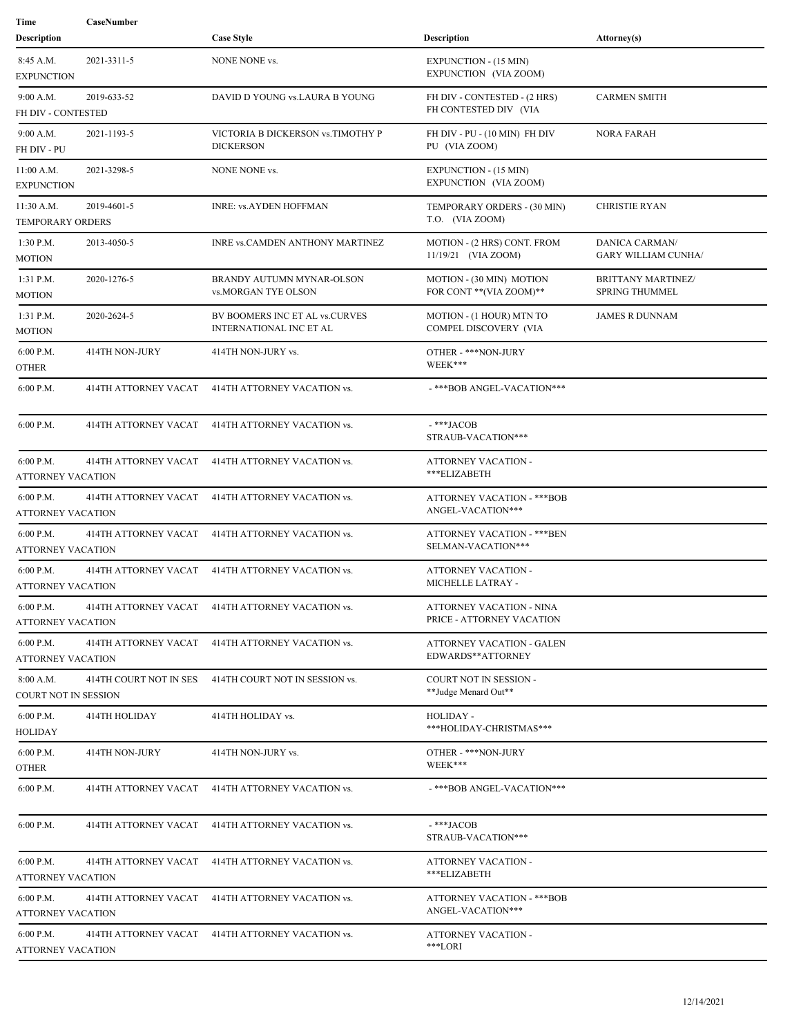| Time                                    | CaseNumber             |                                                                  |                                                          |                                                     |
|-----------------------------------------|------------------------|------------------------------------------------------------------|----------------------------------------------------------|-----------------------------------------------------|
| <b>Description</b>                      |                        | <b>Case Style</b>                                                | <b>Description</b>                                       | Attorney(s)                                         |
| 8:45 A.M.<br><b>EXPUNCTION</b>          | 2021-3311-5            | NONE NONE vs.                                                    | <b>EXPUNCTION - (15 MIN)</b><br>EXPUNCTION (VIA ZOOM)    |                                                     |
| 9:00 A.M.<br>FH DIV - CONTESTED         | 2019-633-52            | DAVID D YOUNG vs.LAURA B YOUNG                                   | FH DIV - CONTESTED - (2 HRS)<br>FH CONTESTED DIV (VIA    | <b>CARMEN SMITH</b>                                 |
| 9:00 A.M.<br>FH DIV - PU                | 2021-1193-5            | VICTORIA B DICKERSON vs.TIMOTHY P<br><b>DICKERSON</b>            | FH DIV - PU - (10 MIN) FH DIV<br>PU (VIA ZOOM)           | <b>NORA FARAH</b>                                   |
| 11:00 A.M.<br><b>EXPUNCTION</b>         | 2021-3298-5            | NONE NONE vs.                                                    | <b>EXPUNCTION - (15 MIN)</b><br>EXPUNCTION (VIA ZOOM)    |                                                     |
| 11:30 A.M.<br><b>TEMPORARY ORDERS</b>   | 2019-4601-5            | <b>INRE: vs.AYDEN HOFFMAN</b>                                    | TEMPORARY ORDERS - (30 MIN)<br>T.O. (VIA ZOOM)           | <b>CHRISTIE RYAN</b>                                |
| 1:30 P.M.<br>MOTION                     | 2013-4050-5            | INRE vs.CAMDEN ANTHONY MARTINEZ                                  | MOTION - (2 HRS) CONT. FROM<br>11/19/21 (VIA ZOOM)       | <b>DANICA CARMAN/</b><br><b>GARY WILLIAM CUNHA/</b> |
| 1:31 P.M.<br>MOTION                     | 2020-1276-5            | BRANDY AUTUMN MYNAR-OLSON<br>vs.MORGAN TYE OLSON                 | MOTION - (30 MIN) MOTION<br>FOR CONT ** (VIA ZOOM)**     | <b>BRITTANY MARTINEZ/</b><br><b>SPRING THUMMEL</b>  |
| 1:31 P.M.<br><b>MOTION</b>              | 2020-2624-5            | BV BOOMERS INC ET AL vs.CURVES<br><b>INTERNATIONAL INC ET AL</b> | MOTION - (1 HOUR) MTN TO<br>COMPEL DISCOVERY (VIA        | <b>JAMES R DUNNAM</b>                               |
| 6:00 P.M.<br>OTHER                      | 414TH NON-JURY         | 414TH NON-JURY vs.                                               | OTHER - ***NON-JURY<br>WEEK***                           |                                                     |
| 6:00 P.M.                               | 414TH ATTORNEY VACAT   | 414TH ATTORNEY VACATION vs.                                      | -***BOB ANGEL-VACATION***                                |                                                     |
| 6:00 P.M.                               | 414TH ATTORNEY VACAT   | 414TH ATTORNEY VACATION vs.                                      | -***JACOB<br>STRAUB-VACATION***                          |                                                     |
| 6:00 P.M.<br><b>ATTORNEY VACATION</b>   | 414TH ATTORNEY VACAT   | 414TH ATTORNEY VACATION vs.                                      | ATTORNEY VACATION -<br>***ELIZABETH                      |                                                     |
| 6:00 P.M.<br>ATTORNEY VACATION          | 414TH ATTORNEY VACAT   | 414TH ATTORNEY VACATION vs.                                      | ATTORNEY VACATION - *** BOB<br>ANGEL-VACATION***         |                                                     |
| $6:00$ P.M.<br><b>ATTORNEY VACATION</b> | 414TH ATTORNEY VACAT   | 414TH ATTORNEY VACATION vs.                                      | <b>ATTORNEY VACATION - *** BEN</b><br>SELMAN-VACATION*** |                                                     |
| 6:00 P.M.<br><b>ATTORNEY VACATION</b>   | 414TH ATTORNEY VACAT   | 414TH ATTORNEY VACATION vs.                                      | ATTORNEY VACATION -<br>MICHELLE LATRAY -                 |                                                     |
| $6:00$ P.M.<br><b>ATTORNEY VACATION</b> |                        | 414TH ATTORNEY VACAT 414TH ATTORNEY VACATION vs.                 | ATTORNEY VACATION - NINA<br>PRICE - ATTORNEY VACATION    |                                                     |
| 6:00 P.M.<br><b>ATTORNEY VACATION</b>   |                        | 414TH ATTORNEY VACAT 414TH ATTORNEY VACATION vs.                 | ATTORNEY VACATION - GALEN<br>EDWARDS**ATTORNEY           |                                                     |
| 8:00 A.M.<br>COURT NOT IN SESSION       | 414TH COURT NOT IN SES | 414TH COURT NOT IN SESSION vs.                                   | COURT NOT IN SESSION -<br>**Judge Menard Out**           |                                                     |
| 6:00 P.M.<br>HOLIDAY                    | 414TH HOLIDAY          | 414TH HOLIDAY vs.                                                | HOLIDAY -<br>***HOLIDAY-CHRISTMAS***                     |                                                     |
| 6:00 P.M.<br>OTHER                      | 414TH NON-JURY         | 414TH NON-JURY vs.                                               | OTHER - ***NON-JURY<br>WEEK***                           |                                                     |
| 6:00 P.M.                               |                        | 414TH ATTORNEY VACAT 414TH ATTORNEY VACATION vs.                 | -***BOB ANGEL-VACATION***                                |                                                     |
| 6:00 P.M.                               |                        | 414TH ATTORNEY VACAT 414TH ATTORNEY VACATION vs.                 | -***JACOB<br>STRAUB-VACATION***                          |                                                     |
| 6:00 P.M.<br><b>ATTORNEY VACATION</b>   | 414TH ATTORNEY VACAT   | 414TH ATTORNEY VACATION vs.                                      | <b>ATTORNEY VACATION -</b><br>***ELIZABETH               |                                                     |
| 6:00 P.M.<br>ATTORNEY VACATION          |                        | 414TH ATTORNEY VACAT 414TH ATTORNEY VACATION vs.                 | ATTORNEY VACATION - *** BOB<br>ANGEL-VACATION***         |                                                     |
| $6:00$ P.M.<br><b>ATTORNEY VACATION</b> |                        | 414TH ATTORNEY VACAT 414TH ATTORNEY VACATION vs.                 | ATTORNEY VACATION -<br>***LORI                           |                                                     |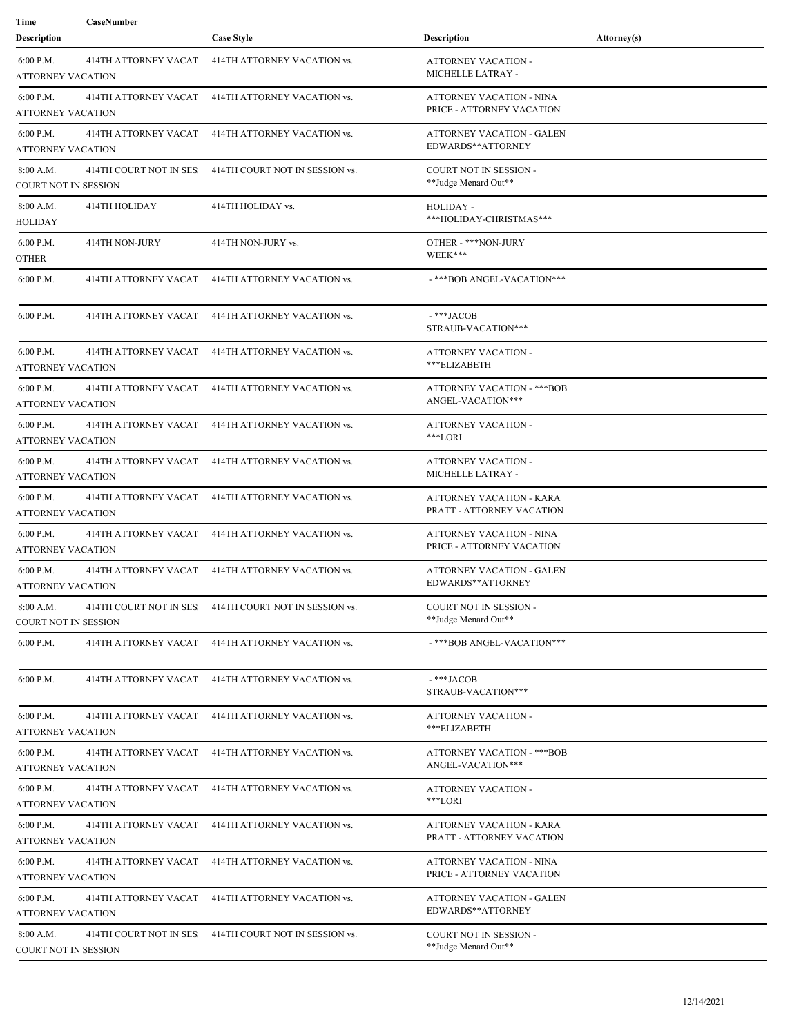| Time<br><b>Description</b>               | CaseNumber              | <b>Case Style</b>                                     | <b>Description</b>                                           | Attorney(s) |
|------------------------------------------|-------------------------|-------------------------------------------------------|--------------------------------------------------------------|-------------|
| 6:00 P.M.<br><b>ATTORNEY VACATION</b>    | 414TH ATTORNEY VACAT    | 414TH ATTORNEY VACATION vs.                           | ATTORNEY VACATION -<br>MICHELLE LATRAY -                     |             |
| 6:00 P.M.<br><b>ATTORNEY VACATION</b>    | 414TH ATTORNEY VACAT    | 414TH ATTORNEY VACATION vs.                           | ATTORNEY VACATION - NINA<br>PRICE - ATTORNEY VACATION        |             |
| 6:00 P.M.<br>ATTORNEY VACATION           | 414TH ATTORNEY VACAT    | 414TH ATTORNEY VACATION vs.                           | ATTORNEY VACATION - GALEN<br>EDWARDS**ATTORNEY               |             |
| 8:00 A.M.<br><b>COURT NOT IN SESSION</b> | 414TH COURT NOT IN SES: | 414TH COURT NOT IN SESSION vs.                        | <b>COURT NOT IN SESSION -</b><br>**Judge Menard Out**        |             |
| 8:00 A.M.<br>HOLIDAY                     | 414TH HOLIDAY           | 414TH HOLIDAY vs.                                     | HOLIDAY -<br>***HOLIDAY-CHRISTMAS***                         |             |
| 6:00 P.M.<br><b>OTHER</b>                | 414TH NON-JURY          | 414TH NON-JURY vs.                                    | OTHER - ***NON-JURY<br>WEEK***                               |             |
| 6:00 P.M.                                | 414TH ATTORNEY VACAT    | 414TH ATTORNEY VACATION vs.                           | -***BOB ANGEL-VACATION***                                    |             |
| $6:00$ P.M.                              | 414TH ATTORNEY VACAT    | 414TH ATTORNEY VACATION vs.                           | -***JACOB<br>STRAUB-VACATION***                              |             |
| 6:00 P.M.<br>ATTORNEY VACATION           | 414TH ATTORNEY VACAT    | 414TH ATTORNEY VACATION vs.                           | ATTORNEY VACATION -<br>***ELIZABETH                          |             |
| $6:00$ P.M.<br>ATTORNEY VACATION         | 414TH ATTORNEY VACAT    | 414TH ATTORNEY VACATION vs.                           | ATTORNEY VACATION - *** BOB<br>ANGEL-VACATION***             |             |
| $6:00$ P.M.<br><b>ATTORNEY VACATION</b>  | 414TH ATTORNEY VACAT    | 414TH ATTORNEY VACATION vs.                           | ATTORNEY VACATION -<br>***LORI                               |             |
| 6:00 P.M.<br>ATTORNEY VACATION           | 414TH ATTORNEY VACAT    | 414TH ATTORNEY VACATION vs.                           | ATTORNEY VACATION -<br>MICHELLE LATRAY -                     |             |
| $6:00$ P.M.<br>ATTORNEY VACATION         | 414TH ATTORNEY VACAT    | 414TH ATTORNEY VACATION vs.                           | ATTORNEY VACATION - KARA<br>PRATT - ATTORNEY VACATION        |             |
| 6:00 P.M.<br>ATTORNEY VACATION           | 414TH ATTORNEY VACAT    | 414TH ATTORNEY VACATION vs.                           | <b>ATTORNEY VACATION - NINA</b><br>PRICE - ATTORNEY VACATION |             |
| $6:00$ P.M.<br><b>ATTORNEY VACATION</b>  | 414TH ATTORNEY VACAT    | 414TH ATTORNEY VACATION vs.                           | <b>ATTORNEY VACATION - GALEN</b><br>EDWARDS**ATTORNEY        |             |
| 8:00 A.M.<br><b>COURT NOT IN SESSION</b> |                         | 414TH COURT NOT IN SES 414TH COURT NOT IN SESSION vs. | COURT NOT IN SESSION -<br>**Judge Menard Out**               |             |
| 6:00 P.M.                                | 414TH ATTORNEY VACAT    | 414TH ATTORNEY VACATION vs.                           | -***BOB ANGEL-VACATION***                                    |             |
| 6:00 P.M.                                | 414TH ATTORNEY VACAT    | 414TH ATTORNEY VACATION vs.                           | -***JACOB<br>STRAUB-VACATION***                              |             |
| 6:00 P.M.<br><b>ATTORNEY VACATION</b>    |                         | 414TH ATTORNEY VACAT 414TH ATTORNEY VACATION vs.      | ATTORNEY VACATION -<br>***ELIZABETH                          |             |
| 6:00 P.M.<br><b>ATTORNEY VACATION</b>    | 414TH ATTORNEY VACAT    | 414TH ATTORNEY VACATION vs.                           | <b>ATTORNEY VACATION - *** BOB</b><br>ANGEL-VACATION***      |             |
| 6:00 P.M.<br><b>ATTORNEY VACATION</b>    | 414TH ATTORNEY VACAT    | 414TH ATTORNEY VACATION vs.                           | ATTORNEY VACATION -<br>***LORI                               |             |
| 6:00 P.M.<br><b>ATTORNEY VACATION</b>    | 414TH ATTORNEY VACAT    | 414TH ATTORNEY VACATION vs.                           | <b>ATTORNEY VACATION - KARA</b><br>PRATT - ATTORNEY VACATION |             |
| 6:00 P.M.<br><b>ATTORNEY VACATION</b>    | 414TH ATTORNEY VACAT    | 414TH ATTORNEY VACATION vs.                           | ATTORNEY VACATION - NINA<br>PRICE - ATTORNEY VACATION        |             |
| $6:00$ P.M.<br><b>ATTORNEY VACATION</b>  | 414TH ATTORNEY VACAT    | 414TH ATTORNEY VACATION vs.                           | ATTORNEY VACATION - GALEN<br>EDWARDS**ATTORNEY               |             |
| 8:00 A.M.<br><b>COURT NOT IN SESSION</b> | 414TH COURT NOT IN SES  | 414TH COURT NOT IN SESSION vs.                        | COURT NOT IN SESSION -<br>**Judge Menard Out**               |             |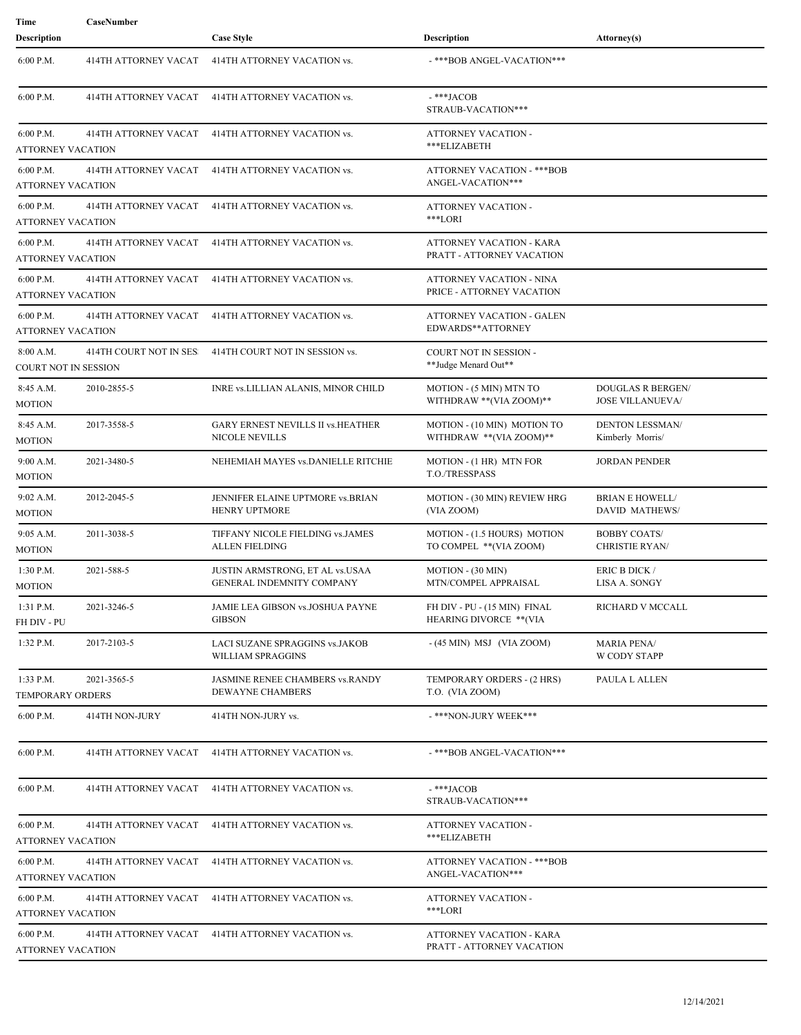| Time                                     | CaseNumber                  |                                                                   |                                                              |                                                     |
|------------------------------------------|-----------------------------|-------------------------------------------------------------------|--------------------------------------------------------------|-----------------------------------------------------|
| Description                              |                             | <b>Case Style</b>                                                 | <b>Description</b>                                           | <b>Attorney(s)</b>                                  |
| 6:00 P.M.                                | 414TH ATTORNEY VACAT        | 414TH ATTORNEY VACATION vs.                                       | -***BOB ANGEL-VACATION***                                    |                                                     |
| 6:00 P.M.                                | 414TH ATTORNEY VACAT        | 414TH ATTORNEY VACATION vs.                                       | -***JACOB<br>STRAUB-VACATION***                              |                                                     |
| $6:00$ P.M.<br><b>ATTORNEY VACATION</b>  | 414TH ATTORNEY VACAT        | 414TH ATTORNEY VACATION vs.                                       | ATTORNEY VACATION -<br>***ELIZABETH                          |                                                     |
| 6:00 P.M.<br><b>ATTORNEY VACATION</b>    | 414TH ATTORNEY VACAT        | 414TH ATTORNEY VACATION vs.                                       | <b>ATTORNEY VACATION - ***BOB</b><br>ANGEL-VACATION***       |                                                     |
| 6:00 P.M.<br>ATTORNEY VACATION           | <b>414TH ATTORNEY VACAT</b> | 414TH ATTORNEY VACATION vs.                                       | ATTORNEY VACATION -<br>***LORI                               |                                                     |
| 6:00 P.M.<br><b>ATTORNEY VACATION</b>    | 414TH ATTORNEY VACAT        | 414TH ATTORNEY VACATION vs.                                       | ATTORNEY VACATION - KARA<br>PRATT - ATTORNEY VACATION        |                                                     |
| 6:00 P.M.<br>ATTORNEY VACATION           | 414TH ATTORNEY VACAT        | 414TH ATTORNEY VACATION vs.                                       | <b>ATTORNEY VACATION - NINA</b><br>PRICE - ATTORNEY VACATION |                                                     |
| $6:00$ P.M.<br>ATTORNEY VACATION         | 414TH ATTORNEY VACAT        | 414TH ATTORNEY VACATION vs.                                       | ATTORNEY VACATION - GALEN<br>EDWARDS**ATTORNEY               |                                                     |
| 8:00 A.M.<br><b>COURT NOT IN SESSION</b> | 414TH COURT NOT IN SES:     | 414TH COURT NOT IN SESSION vs.                                    | <b>COURT NOT IN SESSION -</b><br>**Judge Menard Out**        |                                                     |
| 8:45 A.M.<br>MOTION                      | 2010-2855-5                 | INRE vs.LILLIAN ALANIS, MINOR CHILD                               | MOTION - (5 MIN) MTN TO<br>WITHDRAW ** (VIA ZOOM)**          | <b>DOUGLAS R BERGEN/</b><br><b>JOSE VILLANUEVA/</b> |
| 8:45 A.M.<br><b>MOTION</b>               | 2017-3558-5                 | <b>GARY ERNEST NEVILLS II vs.HEATHER</b><br><b>NICOLE NEVILLS</b> | MOTION - (10 MIN) MOTION TO<br>WITHDRAW **(VIA ZOOM)**       | <b>DENTON LESSMAN/</b><br>Kimberly Morris/          |
| 9:00 A.M.<br><b>MOTION</b>               | 2021-3480-5                 | NEHEMIAH MAYES vs.DANIELLE RITCHIE                                | MOTION - (1 HR) MTN FOR<br><b>T.O./TRESSPASS</b>             | <b>JORDAN PENDER</b>                                |
| $9:02$ A.M.<br>MOTION                    | 2012-2045-5                 | JENNIFER ELAINE UPTMORE vs.BRIAN<br>HENRY UPTMORE                 | MOTION - (30 MIN) REVIEW HRG<br>(VIA ZOOM)                   | <b>BRIAN E HOWELL/</b><br><b>DAVID MATHEWS/</b>     |
| 9:05 A.M.<br>MOTION                      | 2011-3038-5                 | TIFFANY NICOLE FIELDING vs.JAMES<br><b>ALLEN FIELDING</b>         | MOTION - (1.5 HOURS) MOTION<br>TO COMPEL ** (VIA ZOOM)       | <b>BOBBY COATS/</b><br><b>CHRISTIE RYAN/</b>        |
| 1:30 P.M.<br><b>MOTION</b>               | 2021-588-5                  | JUSTIN ARMSTRONG, ET AL vs.USAA<br>GENERAL INDEMNITY COMPANY      | MOTION - (30 MIN)<br>MTN/COMPEL APPRAISAL                    | ERIC B DICK /<br>LISA A. SONGY                      |
| 1:31 P.M.<br>FH DIV - PU                 | 2021-3246-5                 | JAMIE LEA GIBSON vs.JOSHUA PAYNE<br><b>GIBSON</b>                 | FH DIV - PU - (15 MIN) FINAL<br>HEARING DIVORCE ** (VIA      | RICHARD V MCCALL                                    |
| $1:32$ P.M.                              | 2017-2103-5                 | LACI SUZANE SPRAGGINS vs.JAKOB<br>WILLIAM SPRAGGINS               | $-(45$ MIN) MSJ (VIA ZOOM)                                   | <b>MARIA PENA/</b><br>W CODY STAPP                  |
| 1:33 P.M.<br><b>TEMPORARY ORDERS</b>     | 2021-3565-5                 | JASMINE RENEE CHAMBERS vs.RANDY<br>DEWAYNE CHAMBERS               | TEMPORARY ORDERS - (2 HRS)<br>T.O. (VIA ZOOM)                | PAULA L ALLEN                                       |
| 6:00 P.M.                                | 414TH NON-JURY              | 414TH NON-JURY vs.                                                | -***NON-JURY WEEK***                                         |                                                     |
| 6:00 P.M.                                | 414TH ATTORNEY VACAT        | 414TH ATTORNEY VACATION vs.                                       | -***BOB ANGEL-VACATION***                                    |                                                     |
| 6:00 P.M.                                |                             | 414TH ATTORNEY VACAT 414TH ATTORNEY VACATION vs.                  | -***JACOB<br>STRAUB-VACATION***                              |                                                     |
| 6:00 P.M.<br>ATTORNEY VACATION           |                             | 414TH ATTORNEY VACAT 414TH ATTORNEY VACATION vs.                  | ATTORNEY VACATION -<br>***ELIZABETH                          |                                                     |
| 6:00 P.M.<br><b>ATTORNEY VACATION</b>    | 414TH ATTORNEY VACAT        | 414TH ATTORNEY VACATION vs.                                       | <b>ATTORNEY VACATION - *** BOB</b><br>ANGEL-VACATION***      |                                                     |
| 6:00 P.M.<br>ATTORNEY VACATION           |                             | 414TH ATTORNEY VACAT 414TH ATTORNEY VACATION vs.                  | ATTORNEY VACATION -<br>***LORI                               |                                                     |
| 6:00 P.M.<br><b>ATTORNEY VACATION</b>    |                             | 414TH ATTORNEY VACAT 414TH ATTORNEY VACATION vs.                  | ATTORNEY VACATION - KARA<br>PRATT - ATTORNEY VACATION        |                                                     |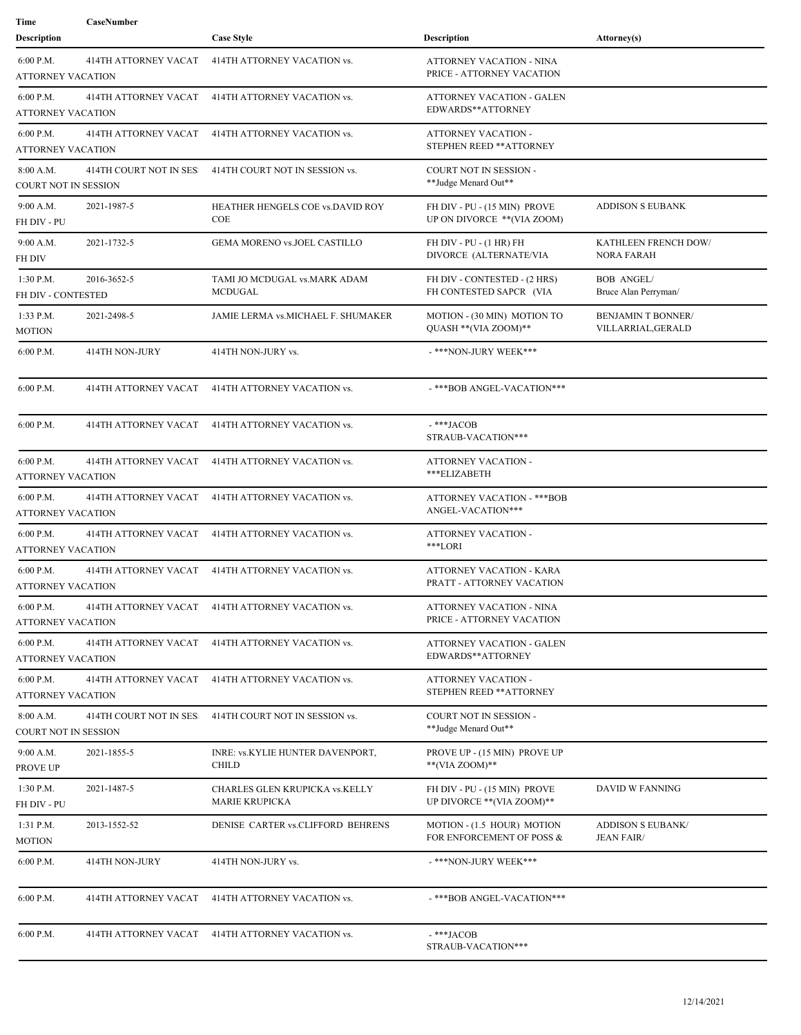| Time<br>Description                     | CaseNumber                  | <b>Case Style</b>                                       | <b>Description</b>                                          | Attorney(s)                                    |
|-----------------------------------------|-----------------------------|---------------------------------------------------------|-------------------------------------------------------------|------------------------------------------------|
|                                         |                             |                                                         |                                                             |                                                |
| 6:00 P.M.<br>ATTORNEY VACATION          | <b>414TH ATTORNEY VACAT</b> | 414TH ATTORNEY VACATION vs.                             | ATTORNEY VACATION - NINA<br>PRICE - ATTORNEY VACATION       |                                                |
| 6:00 P.M.<br>ATTORNEY VACATION          | <b>414TH ATTORNEY VACAT</b> | 414TH ATTORNEY VACATION vs.                             | ATTORNEY VACATION - GALEN<br>EDWARDS**ATTORNEY              |                                                |
| 6:00 P.M.<br>ATTORNEY VACATION          | 414TH ATTORNEY VACAT        | 414TH ATTORNEY VACATION vs.                             | ATTORNEY VACATION -<br>STEPHEN REED ** ATTORNEY             |                                                |
| 8:00 A.M.<br>COURT NOT IN SESSION       | 414TH COURT NOT IN SES:     | 414TH COURT NOT IN SESSION vs.                          | COURT NOT IN SESSION -<br>**Judge Menard Out**              |                                                |
| 9:00 A.M.<br>FH DIV - PU                | 2021-1987-5                 | HEATHER HENGELS COE vs.DAVID ROY<br>COE                 | FH DIV - PU - (15 MIN) PROVE<br>UP ON DIVORCE ** (VIA ZOOM) | <b>ADDISON S EUBANK</b>                        |
| 9:00 A.M.<br>FH DIV                     | 2021-1732-5                 | GEMA MORENO vs.JOEL CASTILLO                            | FH DIV - PU - (1 HR) FH<br>DIVORCE (ALTERNATE/VIA           | KATHLEEN FRENCH DOW/<br><b>NORA FARAH</b>      |
| 1:30 P.M.<br>FH DIV - CONTESTED         | 2016-3652-5                 | TAMI JO MCDUGAL vs.MARK ADAM<br><b>MCDUGAL</b>          | FH DIV - CONTESTED - (2 HRS)<br>FH CONTESTED SAPCR (VIA     | <b>BOB ANGEL/</b><br>Bruce Alan Perryman/      |
| $1:33$ P.M.<br>MOTION                   | 2021-2498-5                 | JAMIE LERMA vs.MICHAEL F. SHUMAKER                      | MOTION - (30 MIN) MOTION TO<br>QUASH ** (VIA ZOOM)**        | <b>BENJAMIN T BONNER/</b><br>VILLARRIAL,GERALD |
| 6:00 P.M.                               | 414TH NON-JURY              | 414TH NON-JURY vs.                                      | -***NON-JURY WEEK***                                        |                                                |
| 6:00 P.M.                               | 414TH ATTORNEY VACAT        | 414TH ATTORNEY VACATION vs.                             | -***BOB ANGEL-VACATION***                                   |                                                |
| 6:00 P.M.                               | 414TH ATTORNEY VACAT        | 414TH ATTORNEY VACATION vs.                             | -***JACOB<br>STRAUB-VACATION***                             |                                                |
| 6:00 P.M.<br>ATTORNEY VACATION          | 414TH ATTORNEY VACAT        | 414TH ATTORNEY VACATION vs.                             | ATTORNEY VACATION -<br>***ELIZABETH                         |                                                |
| $6:00$ P.M.<br><b>ATTORNEY VACATION</b> | 414TH ATTORNEY VACAT        | 414TH ATTORNEY VACATION vs.                             | <b>ATTORNEY VACATION - ***BOB</b><br>ANGEL-VACATION***      |                                                |
| 6:00 P.M.<br>ATTORNEY VACATION          | 414TH ATTORNEY VACAT        | 414TH ATTORNEY VACATION vs.                             | <b>ATTORNEY VACATION -</b><br>***LORI                       |                                                |
| 6:00 P.M.<br>ATTORNEY VACATION          | 414TH ATTORNEY VACAT        | 414TH ATTORNEY VACATION vs.                             | ATTORNEY VACATION - KARA<br>PRATT - ATTORNEY VACATION       |                                                |
| 6:00 P.M.<br><b>ATTORNEY VACATION</b>   |                             | 414TH ATTORNEY VACAT 414TH ATTORNEY VACATION vs.        | ATTORNEY VACATION - NINA<br>PRICE - ATTORNEY VACATION       |                                                |
| 6:00 P.M.<br>ATTORNEY VACATION          | 414TH ATTORNEY VACAT        | 414TH ATTORNEY VACATION vs.                             | ATTORNEY VACATION - GALEN<br>EDWARDS**ATTORNEY              |                                                |
| 6:00 P.M.<br>ATTORNEY VACATION          |                             | 414TH ATTORNEY VACAT 414TH ATTORNEY VACATION vs.        | <b>ATTORNEY VACATION -</b><br>STEPHEN REED ** ATTORNEY      |                                                |
| 8:00 A.M.<br>COURT NOT IN SESSION       | 414TH COURT NOT IN SES      | 414TH COURT NOT IN SESSION vs.                          | <b>COURT NOT IN SESSION -</b><br>**Judge Menard Out**       |                                                |
| 9:00 A.M.<br>PROVE UP                   | 2021-1855-5                 | INRE: vs.KYLIE HUNTER DAVENPORT,<br><b>CHILD</b>        | PROVE UP - (15 MIN) PROVE UP<br>**(VIA ZOOM)**              |                                                |
| 1:30 P.M.<br>FH DIV - PU                | 2021-1487-5                 | CHARLES GLEN KRUPICKA vs.KELLY<br><b>MARIE KRUPICKA</b> | FH DIV - PU - (15 MIN) PROVE<br>UP DIVORCE ** (VIA ZOOM)**  | DAVID W FANNING                                |
| 1:31 P.M.<br><b>MOTION</b>              | 2013-1552-52                | DENISE CARTER vs.CLIFFORD BEHRENS                       | MOTION - (1.5 HOUR) MOTION<br>FOR ENFORCEMENT OF POSS &     | <b>ADDISON S EUBANK/</b><br>JEAN FAIR/         |
| 6:00 P.M.                               | 414TH NON-JURY              | 414TH NON-JURY vs.                                      | - ***NON-JURY WEEK***                                       |                                                |
| 6:00 P.M.                               | 414TH ATTORNEY VACAT        | 414TH ATTORNEY VACATION vs.                             | -***BOB ANGEL-VACATION***                                   |                                                |
| 6:00 P.M.                               |                             | 414TH ATTORNEY VACAT 414TH ATTORNEY VACATION vs.        | -***JACOB<br>STRAUB-VACATION***                             |                                                |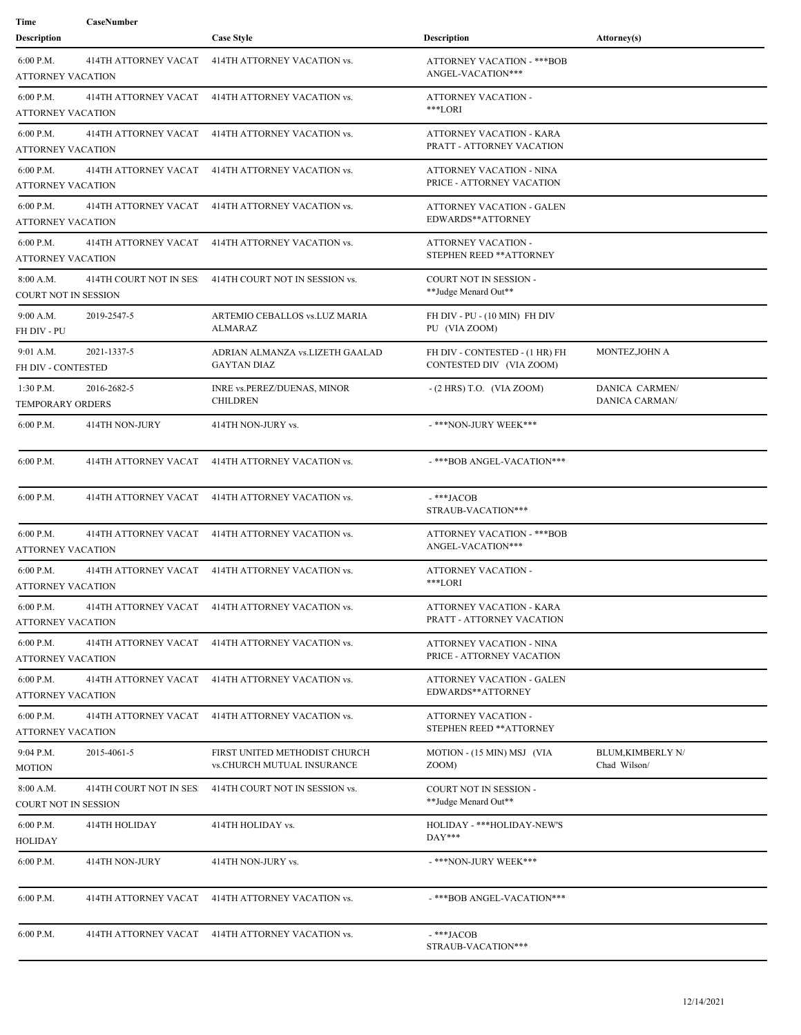| Time<br><b>Description</b>               | CaseNumber              | <b>Case Style</b>                                           | <b>Description</b>                                           | Attorney(s)                             |
|------------------------------------------|-------------------------|-------------------------------------------------------------|--------------------------------------------------------------|-----------------------------------------|
| 6:00 P.M.<br><b>ATTORNEY VACATION</b>    | 414TH ATTORNEY VACAT    | 414TH ATTORNEY VACATION vs.                                 | ATTORNEY VACATION - ***BOB<br>ANGEL-VACATION***              |                                         |
| 6:00 P.M.<br><b>ATTORNEY VACATION</b>    | 414TH ATTORNEY VACAT    | 414TH ATTORNEY VACATION vs.                                 | ATTORNEY VACATION -<br>***LORI                               |                                         |
| 6:00 P.M.<br>ATTORNEY VACATION           | 414TH ATTORNEY VACAT    | 414TH ATTORNEY VACATION vs.                                 | <b>ATTORNEY VACATION - KARA</b><br>PRATT - ATTORNEY VACATION |                                         |
| 6:00 P.M.<br><b>ATTORNEY VACATION</b>    | 414TH ATTORNEY VACAT    | 414TH ATTORNEY VACATION vs.                                 | <b>ATTORNEY VACATION - NINA</b><br>PRICE - ATTORNEY VACATION |                                         |
| $6:00$ P.M.<br>ATTORNEY VACATION         | 414TH ATTORNEY VACAT    | 414TH ATTORNEY VACATION vs.                                 | ATTORNEY VACATION - GALEN<br>EDWARDS**ATTORNEY               |                                         |
| 6:00 P.M.<br>ATTORNEY VACATION           | 414TH ATTORNEY VACAT    | 414TH ATTORNEY VACATION vs.                                 | ATTORNEY VACATION -<br>STEPHEN REED ** ATTORNEY              |                                         |
| 8:00 A.M.<br><b>COURT NOT IN SESSION</b> | 414TH COURT NOT IN SES: | 414TH COURT NOT IN SESSION vs.                              | COURT NOT IN SESSION -<br>**Judge Menard Out**               |                                         |
| 9:00 A.M.<br>FH DIV - PU                 | 2019-2547-5             | ARTEMIO CEBALLOS vs.LUZ MARIA<br>ALMARAZ                    | FH DIV - PU - (10 MIN) FH DIV<br>PU (VIA ZOOM)               |                                         |
| 9:01 A.M.<br>FH DIV - CONTESTED          | 2021-1337-5             | ADRIAN ALMANZA vs.LIZETH GAALAD<br><b>GAYTAN DIAZ</b>       | FH DIV - CONTESTED - (1 HR) FH<br>CONTESTED DIV (VIA ZOOM)   | MONTEZ, JOHN A                          |
| $1:30$ P.M.<br>TEMPORARY ORDERS          | 2016-2682-5             | INRE vs.PEREZ/DUENAS, MINOR<br><b>CHILDREN</b>              | $-(2$ HRS) T.O. (VIA ZOOM)                                   | DANICA CARMEN/<br>DANICA CARMAN/        |
| $6:00$ P.M.                              | 414TH NON-JURY          | 414TH NON-JURY vs.                                          | -***NON-JURY WEEK***                                         |                                         |
| 6:00 P.M.                                | 414TH ATTORNEY VACAT    | 414TH ATTORNEY VACATION vs.                                 | -***BOB ANGEL-VACATION***                                    |                                         |
| 6:00 P.M.                                | 414TH ATTORNEY VACAT    | 414TH ATTORNEY VACATION vs.                                 | $-$ ***JACOB<br>STRAUB-VACATION***                           |                                         |
| 6:00 P.M.<br>ATTORNEY VACATION           | 414TH ATTORNEY VACAT    | 414TH ATTORNEY VACATION vs.                                 | <b>ATTORNEY VACATION - *** BOB</b><br>ANGEL-VACATION***      |                                         |
| $6:00$ P.M.<br><b>ATTORNEY VACATION</b>  | 414TH ATTORNEY VACAT    | 414TH ATTORNEY VACATION vs.                                 | ATTORNEY VACATION -<br>***LORI                               |                                         |
| 6:00 P.M.<br><b>ATTORNEY VACATION</b>    |                         | 414TH ATTORNEY VACAT 414TH ATTORNEY VACATION vs.            | ATTORNEY VACATION - KARA<br>PRATT - ATTORNEY VACATION        |                                         |
| 6:00 P.M.<br><b>ATTORNEY VACATION</b>    | 414TH ATTORNEY VACAT    | 414TH ATTORNEY VACATION vs.                                 | ATTORNEY VACATION - NINA<br>PRICE - ATTORNEY VACATION        |                                         |
| 6:00 P.M.<br>ATTORNEY VACATION           | 414TH ATTORNEY VACAT    | 414TH ATTORNEY VACATION vs.                                 | ATTORNEY VACATION - GALEN<br>EDWARDS**ATTORNEY               |                                         |
| 6:00 P.M.<br><b>ATTORNEY VACATION</b>    | 414TH ATTORNEY VACAT    | 414TH ATTORNEY VACATION vs.                                 | ATTORNEY VACATION -<br>STEPHEN REED ** ATTORNEY              |                                         |
| 9:04 P.M.<br><b>MOTION</b>               | 2015-4061-5             | FIRST UNITED METHODIST CHURCH<br>vs.CHURCH MUTUAL INSURANCE | MOTION - (15 MIN) MSJ (VIA<br>ZOOM)                          | <b>BLUM.KIMBERLY N/</b><br>Chad Wilson/ |
| 8:00 A.M.<br>COURT NOT IN SESSION        | 414TH COURT NOT IN SES  | 414TH COURT NOT IN SESSION vs.                              | COURT NOT IN SESSION -<br>**Judge Menard Out**               |                                         |
| 6:00 P.M.<br>HOLIDAY                     | 414TH HOLIDAY           | 414TH HOLIDAY vs.                                           | HOLIDAY - ***HOLIDAY-NEW'S<br>$DAY***$                       |                                         |
| 6:00 P.M.                                | 414TH NON-JURY          | 414TH NON-JURY vs.                                          | -***NON-JURY WEEK***                                         |                                         |
| 6:00 P.M.                                | 414TH ATTORNEY VACAT    | 414TH ATTORNEY VACATION vs.                                 | -***BOB ANGEL-VACATION***                                    |                                         |
| 6:00 P.M.                                |                         | 414TH ATTORNEY VACAT 414TH ATTORNEY VACATION vs.            | -***JACOB<br>STRAUB-VACATION***                              |                                         |